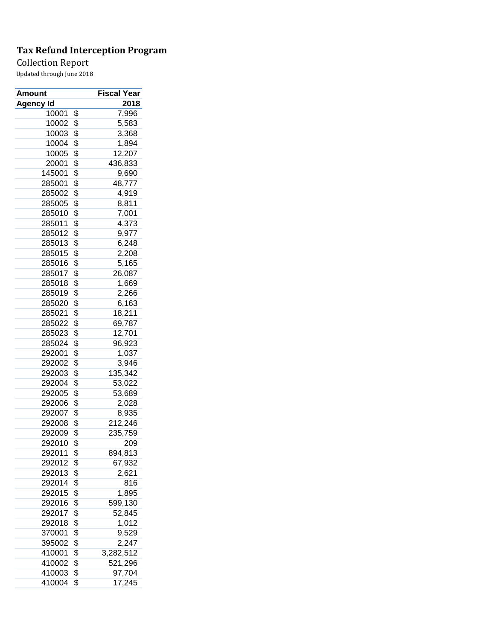## Collection Report

| <b>Amount</b> | Fiscal Year     |
|---------------|-----------------|
| Agency Id     | 2018            |
| 10001         | \$<br>7,996     |
| 10002         | \$<br>5,583     |
| 10003         | \$<br>3,368     |
| 10004         | \$<br>1,894     |
| 10005         | \$<br>12,207    |
| 20001         | \$<br>436,833   |
| 145001        | \$<br>9,690     |
| 285001        | \$<br>48,777    |
| 285002        | \$<br>4,919     |
| 285005        | \$<br>8,811     |
| 285010        | \$<br>7,001     |
| 285011        | \$<br>4,373     |
| 285012        | \$<br>9,977     |
| 285013        | \$<br>6,248     |
| 285015        | \$<br>2,208     |
| 285016        | \$<br>5,165     |
| 285017        | \$<br>26,087    |
| 285018        | \$<br>1,669     |
| 285019        | \$<br>2,266     |
| 285020        | \$<br>6,163     |
| 285021        | \$<br>18,211    |
| 285022        | \$<br>69,787    |
| 285023        | \$<br>12,701    |
| 285024        | \$<br>96,923    |
| 292001        | \$<br>1,037     |
| 292002        | \$<br>3,946     |
| 292003        | \$<br>135,342   |
| 292004        | \$              |
| 292005        | \$<br>53,022    |
| 292006        | 53,689          |
|               | \$<br>2,028     |
| 292007        | \$<br>8,935     |
| 292008        | \$<br>212,246   |
| 292009        | \$<br>235,759   |
| 292010        | \$<br>209       |
| 292011        | \$<br>894,813   |
| 292012        | \$<br>67,932    |
| 292013        | \$<br>2,621     |
| 292014        | \$<br>816       |
| 292015        | \$<br>1,895     |
| 292016        | \$<br>599,130   |
| 292017        | \$<br>52,845    |
| 292018        | \$<br>1,012     |
| 370001        | \$<br>9,529     |
| 395002        | \$<br>2,247     |
| 410001        | \$<br>3,282,512 |
| 410002        | \$<br>521,296   |
| 410003        | \$<br>97,704    |
| 410004        | \$<br>17,245    |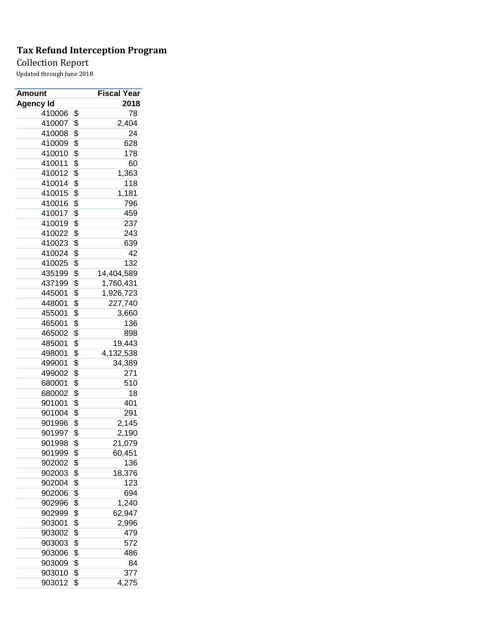## Collection Report

| <b>Amount</b>    | Fiscal Year      |
|------------------|------------------|
| <b>Agency Id</b> | 2018             |
| 410006           | \$<br>78         |
| 410007           | \$<br>2,404      |
| 410008           | \$<br>24         |
| 410009           | \$<br>628        |
| 410010           | \$<br>178        |
| 410011           | \$<br>60         |
| 410012           | \$<br>1,363      |
| 410014           | \$<br>118        |
| 410015           | \$<br>1,181      |
| 410016           | \$<br>796        |
| 410017           | \$<br>459        |
| 410019           | \$<br>237        |
| 410022           | \$<br>243        |
| 410023           | \$<br>639        |
| 410024           | \$<br>42         |
| 410025           | \$<br>132        |
| 435199           | \$<br>14,404,589 |
| 437199           | \$<br>1,760,431  |
| 445001           | \$<br>1,926,723  |
| 448001           | \$<br>227,740    |
| 455001           | \$<br>3,660      |
| 465001           | \$<br>136        |
| 465002           | \$<br>898        |
| 485001           | \$<br>19,443     |
| 498001           | \$<br>4,132,538  |
| 499001           | \$<br>34,389     |
| 499002           | \$<br>271        |
| 680001           | \$<br>510        |
| 680002           | \$<br>18         |
| 901001           | \$<br>401        |
| 901004           | \$<br>291        |
| 901996           | \$<br>2,145      |
| 901997           | \$               |
| 901998           | 2,190            |
|                  | \$<br>21,079     |
| 901999           | \$<br>60,451     |
| 902002           | \$<br>136        |
| 902003           | \$<br>18,376     |
| 902004           | \$<br>123        |
| 902006           | \$<br>694        |
| 902996           | \$<br>1,240      |
| 902999           | \$<br>62,947     |
| 903001           | \$<br>2,996      |
| 903002           | \$<br>479        |
| 903003           | \$<br>572        |
| 903006           | \$<br>486        |
| 903009           | \$<br>84         |
| 903010           | \$<br>377        |
| 903012           | \$<br>4,275      |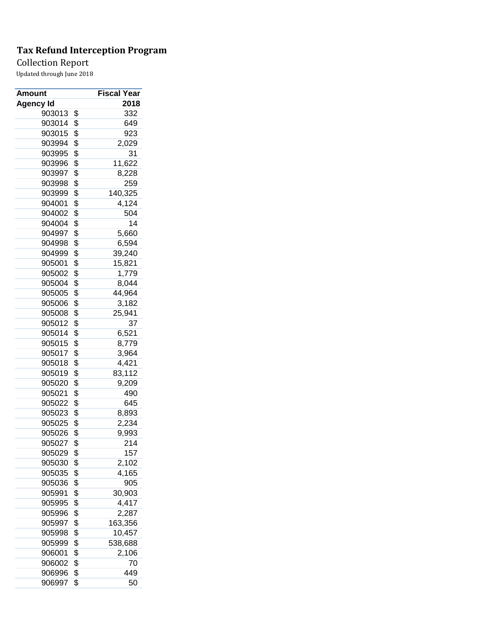## Collection Report

| <b>Amount</b>    | Fiscal Year   |
|------------------|---------------|
| <b>Agency Id</b> | 2018          |
| 903013           | \$<br>332     |
| 903014           | \$<br>649     |
| 903015           | \$<br>923     |
| 903994           | \$<br>2,029   |
| 903995           | \$<br>31      |
| 903996           | \$<br>11,622  |
| 903997           | \$<br>8,228   |
| 903998           | \$<br>259     |
| 903999           | \$<br>140,325 |
| 904001           | \$<br>4,124   |
| 904002           | \$<br>504     |
| 904004           | \$<br>14      |
| 904997           | \$<br>5,660   |
| 904998           | \$<br>6,594   |
| 904999           | \$<br>39,240  |
| 905001           | \$<br>15,821  |
| 905002           | \$<br>1,779   |
| 905004           | \$<br>8,044   |
| 905005           | \$<br>44,964  |
| 905006           | \$<br>3,182   |
| 905008           | \$<br>25,941  |
| 905012           | \$<br>37      |
| 905014           | \$<br>6,521   |
| 905015           | \$<br>8,779   |
| 905017           | \$<br>3,964   |
| 905018           | \$<br>4,421   |
| 905019           | \$<br>83,112  |
| 905020           | \$<br>9,209   |
| 905021           | \$<br>490     |
| 905022           |               |
|                  | \$<br>645     |
| 905023           | \$<br>8,893   |
| 905025           | \$<br>2,234   |
| 905026           | \$<br>9,993   |
| 905027           | \$<br>214     |
| 905029           | \$<br>157     |
| 905030           | \$<br>2,102   |
| 905035           | \$<br>4,165   |
| 905036           | \$<br>905     |
| 905991           | \$<br>30,903  |
| 905995           | \$<br>4,417   |
| 905996           | \$<br>2,287   |
| 905997           | \$<br>163,356 |
| 905998           | \$<br>10,457  |
| 905999           | \$<br>538,688 |
| 906001           | \$<br>2,106   |
| 906002           | \$<br>70      |
| 906996           | \$<br>449     |
| 906997           | \$<br>50      |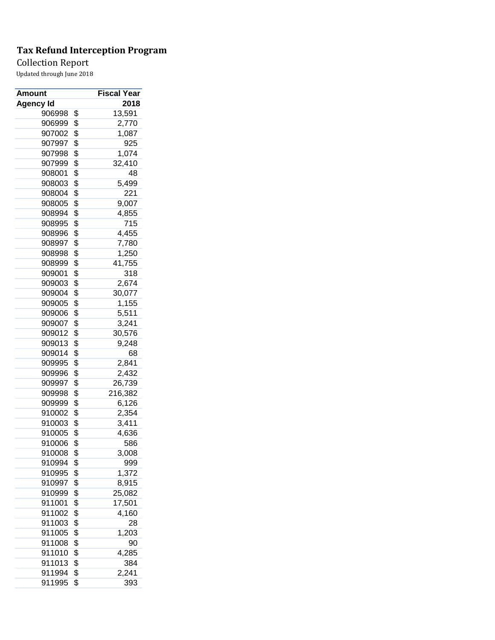## Collection Report

| <b>Amount</b>    | Fiscal Year   |
|------------------|---------------|
| <b>Agency Id</b> | 2018          |
| 906998           | \$<br>13,591  |
| 906999           | \$<br>2,770   |
| 907002           | \$<br>1,087   |
| 907997           | \$<br>925     |
| 907998           | \$<br>1,074   |
| 907999           | \$<br>32,410  |
| 908001           | \$<br>48      |
| 908003           | \$<br>5,499   |
| 908004           | \$<br>221     |
| 908005           | \$<br>9,007   |
| 908994           | \$<br>4,855   |
| 908995           | \$<br>715     |
| 908996           | \$<br>4,455   |
| 908997           | \$<br>7,780   |
| 908998           | \$<br>1,250   |
| 908999           | \$<br>41,755  |
| 909001           | \$<br>318     |
| 909003           | \$<br>2,674   |
| 909004           | \$<br>30,077  |
| 909005           | \$<br>1,155   |
| 909006           | \$<br>5,511   |
| 909007           | \$<br>3,241   |
| 909012           | \$<br>30,576  |
| 909013           | \$<br>9,248   |
| 909014           | \$<br>68      |
| 909995           | \$<br>2,841   |
| 909996           | \$<br>2,432   |
| 909997           | \$<br>26,739  |
|                  | \$            |
| 909998<br>909999 | \$<br>216,382 |
|                  | 6,126         |
| 910002           | \$<br>2,354   |
| 910003           | \$<br>3,411   |
| 910005           | \$<br>4,636   |
| 910006           | \$<br>586     |
| 910008           | \$<br>3,008   |
| 910994           | \$<br>999     |
| 910995           | \$<br>1,372   |
| 910997           | \$<br>8,915   |
| 910999           | \$<br>25,082  |
| 911001           | \$<br>17,501  |
| 911002           | \$<br>4,160   |
| 911003           | \$<br>28      |
| 911005           | \$<br>1,203   |
| 911008           | \$<br>90      |
| 911010           | \$<br>4,285   |
| 911013           | \$<br>384     |
| 911994           | \$<br>2,241   |
| 911995           | \$<br>393     |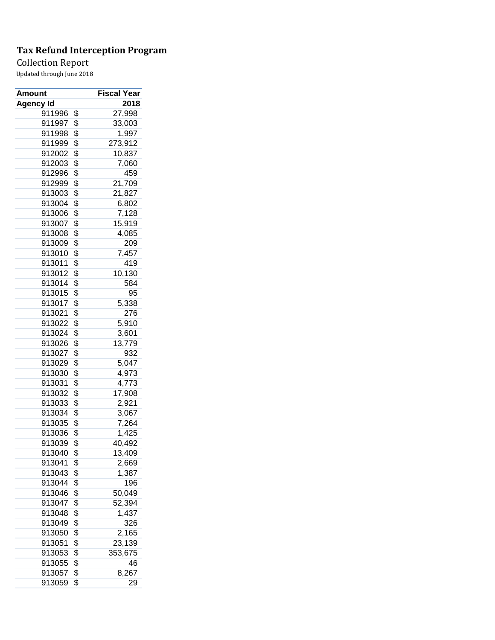## Collection Report

| <b>Amount</b>    | <b>Fiscal Year</b> |
|------------------|--------------------|
| <b>Agency Id</b> | 2018               |
| 911996           | \$<br>27,998       |
| 911997           | \$<br>33,003       |
| 911998           | \$<br>1,997        |
| 911999           | \$<br>273,912      |
| 912002           | \$<br>10,837       |
| 912003           | \$<br>7,060        |
| 912996           | \$<br>459          |
| 912999           | \$<br>21,709       |
| 913003           | \$<br>21,827       |
| 913004           | \$<br>6,802        |
| 913006           | \$<br>7,128        |
| 913007           | \$<br>15,919       |
| 913008           | \$<br>4,085        |
| 913009           | \$<br>209          |
| 913010           | \$<br>7,457        |
| 913011           | \$<br>419          |
| 913012           | \$<br>10,130       |
| 913014           | \$<br>584          |
| 913015           | \$<br>95           |
| 913017           | \$<br>5,338        |
| 913021           | \$<br>276          |
| 913022           | \$<br>5,910        |
| 913024           | \$<br>3,601        |
| 913026           | \$<br>13,779       |
| 913027           | \$<br>932          |
| 913029           | \$<br>5,047        |
| 913030           | \$<br>4,973        |
| 913031           | \$                 |
|                  | \$<br>4,773        |
| 913032<br>913033 | \$<br>17,908       |
|                  | 2,921              |
| 913034           | \$<br>3,067        |
| 913035           | \$<br>7,264        |
| 913036           | \$<br>1,425        |
| 913039           | \$<br>40,492       |
| 913040           | \$<br>13,409       |
| 913041           | \$<br>2,669        |
| 913043           | \$<br>1,387        |
| 913044           | \$<br>196          |
| 913046           | \$<br>50,049       |
| 913047           | \$<br>52,394       |
| 913048           | \$<br>1,437        |
| 913049           | \$<br>326          |
| 913050           | \$<br>2,165        |
| 913051           | \$<br>23,139       |
| 913053           | \$<br>353,675      |
| 913055           | \$<br>46           |
| 913057           | \$<br>8,267        |
| 913059           | \$<br>29           |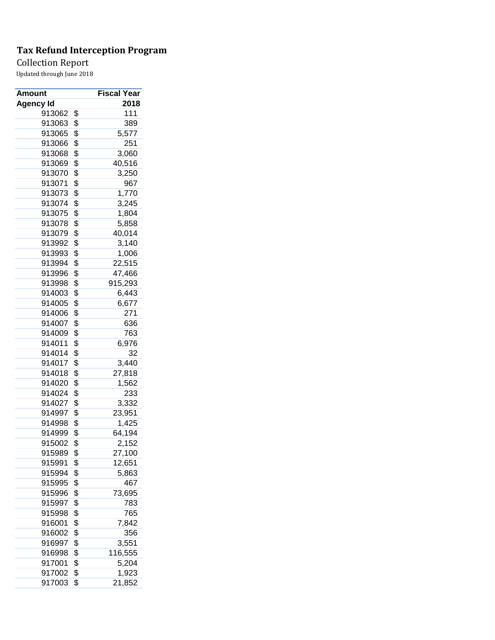## Collection Report

| Amount           | <b>Fiscal Year</b> |
|------------------|--------------------|
| <b>Agency Id</b> | 2018               |
| 913062           | \$<br>111          |
| 913063           | \$<br>389          |
| 913065           | \$<br>5,577        |
| 913066           | \$<br>251          |
| 913068           | \$<br>3,060        |
| 913069           | \$<br>40,516       |
| 913070           | \$<br>3,250        |
| 913071           | \$<br>967          |
| 913073           | \$<br>1,770        |
| 913074           | \$<br>3,245        |
| 913075           | \$<br>1,804        |
| 913078           | \$<br>5,858        |
| 913079           | \$<br>40,014       |
| 913992           | \$<br>3,140        |
| 913993           | \$<br>1,006        |
| 913994           | \$<br>22,515       |
| 913996           | \$<br>47,466       |
| 913998           | \$<br>915,293      |
| 914003           | \$<br>6,443        |
| 914005           | \$<br>6,677        |
| 914006           | \$<br>271          |
| 914007           | \$<br>636          |
| 914009           | \$<br>763          |
| 914011           | \$<br>6,976        |
| 914014           | \$<br>32           |
| 914017           | \$<br>3,440        |
| 914018           | \$<br>27,818       |
| 914020           | \$<br>1,562        |
| 914024           | \$<br>233          |
| 914027           | \$<br>3,332        |
| 914997           | \$<br>23,951       |
| 914998           | \$<br>1,425        |
| 914999           | \$<br>64,194       |
| 915002           | \$<br>2,152        |
| 915989           | \$<br>27,100       |
| 915991           | \$<br>12,651       |
| 915994           | \$<br>5,863        |
| 915995           | \$<br>467          |
| 915996           | \$<br>73,695       |
| 915997           | \$<br>783          |
| 915998           | \$<br>765          |
| 916001           | \$<br>7,842        |
| 916002           | \$<br>356          |
| 916997           | \$<br>3,551        |
| 916998           | \$<br>116,555      |
| 917001           | \$<br>5,204        |
| 917002           | \$<br>1,923        |
| 917003           | \$<br>21,852       |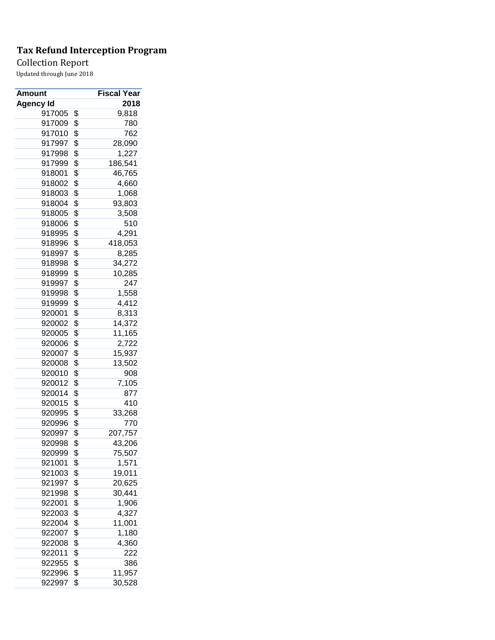## Collection Report

| <b>Amount</b>    | Fiscal Year   |
|------------------|---------------|
| <b>Agency Id</b> | 2018          |
| 917005           | \$<br>9,818   |
| 917009           | \$<br>780     |
| 917010           | \$<br>762     |
| 917997           | \$<br>28,090  |
| 917998           | \$<br>1,227   |
| 917999           | \$<br>186,541 |
| 918001           | \$<br>46,765  |
| 918002           | \$<br>4,660   |
| 918003           | \$<br>1,068   |
| 918004           | \$<br>93,803  |
| 918005           | \$<br>3,508   |
| 918006           | \$<br>510     |
| 918995           | \$<br>4,291   |
| 918996           | \$<br>418,053 |
| 918997           | \$<br>8,285   |
| 918998           | \$<br>34,272  |
| 918999           | \$<br>10,285  |
| 919997           | \$<br>247     |
| 919998           | \$<br>1,558   |
| 919999           | \$<br>4,412   |
| 920001           | \$<br>8,313   |
| 920002           | \$<br>14,372  |
| 920005           | \$<br>11,165  |
| 920006           | \$<br>2,722   |
| 920007           | \$<br>15,937  |
| 920008           | \$<br>13,502  |
| 920010           | \$<br>908     |
| 920012           | \$<br>7,105   |
| 920014           | \$<br>877     |
| 920015           | \$            |
|                  | 410           |
| 920995           | \$<br>33,268  |
| 920996           | \$<br>770     |
| 920997           | \$<br>207,757 |
| 920998           | \$<br>43,206  |
| 920999           | \$<br>75,507  |
| 921001           | \$<br>1,571   |
| 921003           | \$<br>19,011  |
| 921997           | \$<br>20,625  |
| 921998           | \$<br>30,441  |
| 922001           | \$<br>1,906   |
| 922003           | \$<br>4,327   |
| 922004           | \$<br>11,001  |
| 922007           | \$<br>1,180   |
| 922008           | \$<br>4,360   |
| 922011           | \$<br>222     |
| 922955           | \$<br>386     |
| 922996           | \$<br>11,957  |
| 922997           | \$<br>30,528  |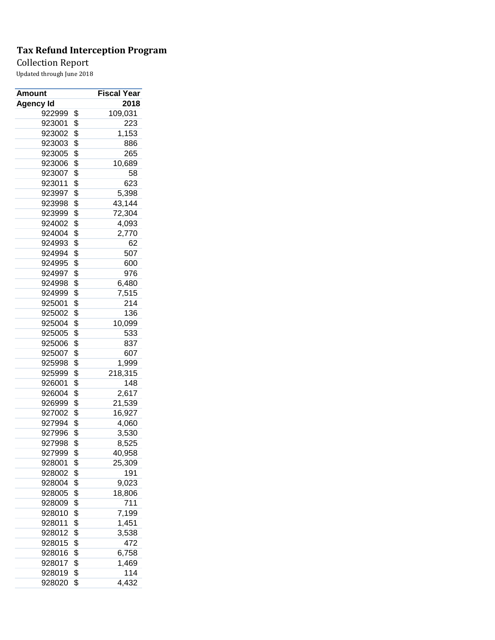## Collection Report

| Amount           | <b>Fiscal Year</b> |
|------------------|--------------------|
| <b>Agency Id</b> | 2018               |
| 922999           | \$<br>109,031      |
| 923001           | \$<br>223          |
| 923002           | \$<br>1,153        |
| 923003           | \$<br>886          |
| 923005           | \$<br>265          |
| 923006           | \$<br>10,689       |
| 923007           | \$<br>58           |
| 923011           | \$<br>623          |
| 923997           | \$<br>5,398        |
| 923998           | \$<br>43,144       |
| 923999           | \$<br>72,304       |
| 924002           | \$<br>4,093        |
| 924004           | \$<br>2,770        |
| 924993           | \$<br>62           |
| 924994           | \$<br>507          |
| 924995           | \$<br>600          |
| 924997           | \$<br>976          |
| 924998           | \$<br>6,480        |
| 924999           | \$<br>7,515        |
| 925001           | \$<br>214          |
| 925002           | \$<br>136          |
| 925004           | \$<br>10,099       |
| 925005           | \$<br>533          |
| 925006           | \$<br>837          |
| 925007           | \$<br>607          |
| 925998           | \$<br>1,999        |
| 925999           | \$<br>218,315      |
| 926001           | \$<br>148          |
| 926004           | \$<br>2,617        |
| 926999           | \$<br>21,539       |
|                  |                    |
| 927002           | \$<br>16,927       |
| 927994           | \$<br>4,060        |
| 927996           | \$<br>3,530        |
| 927998           | \$<br>8,525        |
| 927999           | \$<br>40,958       |
| 928001           | \$<br>25,309       |
| 928002           | \$<br>191          |
| 928004           | \$<br>9,023        |
| 928005           | \$<br>18,806       |
| 928009           | \$<br>711          |
| 928010           | \$<br>7,199        |
| 928011           | \$<br>1,451        |
| 928012           | \$<br>3,538        |
| 928015           | \$<br>472          |
| 928016           | \$<br>6,758        |
| 928017           | \$<br>1,469        |
| 928019           | \$<br>114          |
| 928020           | \$<br>4,432        |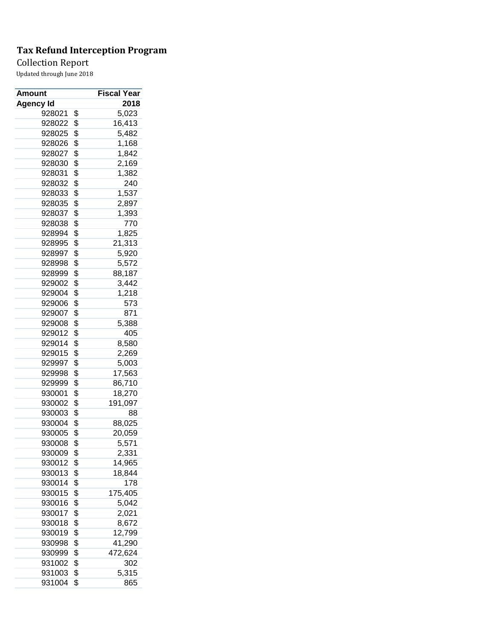## Collection Report

| <b>Amount</b>    | Fiscal Year         |
|------------------|---------------------|
| <b>Agency Id</b> | 2018                |
| 928021           | \$<br>5,023         |
| 928022           | \$<br>16,413        |
| 928025           | \$<br>5,482         |
| 928026           | \$<br>1,168         |
| 928027           | \$<br>1,842         |
| 928030           | \$<br>2,169         |
| 928031           | \$<br>1,382         |
| 928032           | \$<br>240           |
| 928033           | \$<br>1,537         |
| 928035           | \$<br>2,897         |
| 928037           | \$<br>1,393         |
| 928038           | \$<br>770           |
| 928994           | \$<br>1,825         |
| 928995           | \$<br>21,313        |
| 928997           | \$<br>5,920         |
| 928998           | \$<br>5,572         |
| 928999           | \$<br>88,187        |
| 929002           | \$<br>3,442         |
| 929004           | \$<br>1,218         |
| 929006           | \$<br>573           |
| 929007           | \$<br>871           |
| 929008           | \$<br>5,388         |
| 929012           | \$<br>405           |
| 929014           | \$<br>8,580         |
| 929015           | \$<br>2,269         |
| 929997           | \$<br>5,003         |
| 929998           | \$<br>17,563        |
| 929999           | \$<br>86,710        |
| 930001           | \$                  |
|                  | 18,270              |
| 930002           | \$<br>191,097<br>88 |
| 930003           | \$                  |
| 930004           | \$<br>88,025        |
| 930005           | \$<br>20,059        |
| 930008           | \$<br>5,571         |
| 930009           | \$<br>2,331         |
| 930012           | \$<br>14,965        |
| 930013           | \$<br>18,844        |
| 930014           | \$<br>178           |
| 930015           | \$<br>175,405       |
| 930016           | \$<br>5,042         |
| 930017           | \$<br>2,021         |
| 930018           | \$<br>8,672         |
| 930019           | \$<br>12,799        |
| 930998           | \$<br>41,290        |
| 930999           | \$<br>472,624       |
| 931002           | \$<br>302           |
| 931003           | \$<br>5,315         |
| 931004           | \$<br>865           |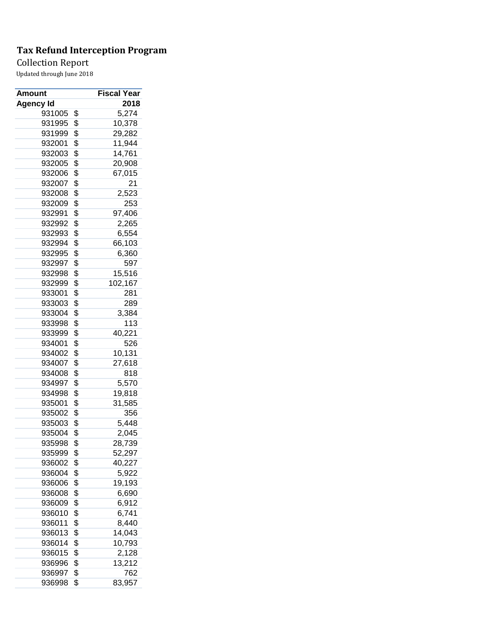## Collection Report

| Amount           | Fiscal Year            |
|------------------|------------------------|
| <b>Agency Id</b> | 2018                   |
| 931005           | \$<br>5,274            |
| 931995           | \$<br>10,378           |
| 931999           | \$<br>29,282           |
| 932001           | \$<br>11,944           |
| 932003           | \$<br>14,761           |
| 932005           | \$<br>20,908           |
| 932006           | \$<br>67,015           |
| 932007           | \$<br>21               |
| 932008           | \$<br>2,523            |
| 932009           | \$<br>253              |
| 932991           | \$<br>97,406           |
| 932992           | \$<br>2,265            |
| 932993           | \$<br>6,554            |
| 932994           | \$<br>66,103           |
| 932995           | \$<br>6,360            |
| 932997           | \$<br>597              |
| 932998           | \$<br>15,516           |
| 932999           | \$<br>102,167          |
| 933001           | \$<br>281              |
| 933003           | \$<br>289              |
| 933004           | \$<br>3,384            |
| 933998           | \$<br>113              |
| 933999           | \$<br>40,221           |
| 934001           | \$<br>526              |
| 934002           | \$<br>10,131           |
| 934007           | \$<br>27,618           |
| 934008           | \$<br>818              |
| 934997           | \$<br>5,570            |
| 934998           | \$<br>19,818           |
| 935001           | \$<br>31,585           |
| 935002           | \$<br>356              |
| 935003           | \$<br>5,448            |
| 935004           | \$<br>2,045            |
| 935998           | \$<br>28,739           |
| 935999           | \$                     |
| 936002           | \$<br>52,297<br>40,227 |
| 936004           | \$<br>5,922            |
| 936006           | \$<br>19,193           |
| 936008           | \$<br>6,690            |
| 936009           | \$<br>6,912            |
| 936010           | \$                     |
|                  | 6,741                  |
| 936011           | \$<br>8,440            |
| 936013           | \$<br>14,043           |
| 936014           | \$<br>10,793           |
| 936015           | \$<br>2,128            |
| 936996           | \$<br>13,212           |
| 936997           | \$<br>762              |
| 936998           | \$<br>83,957           |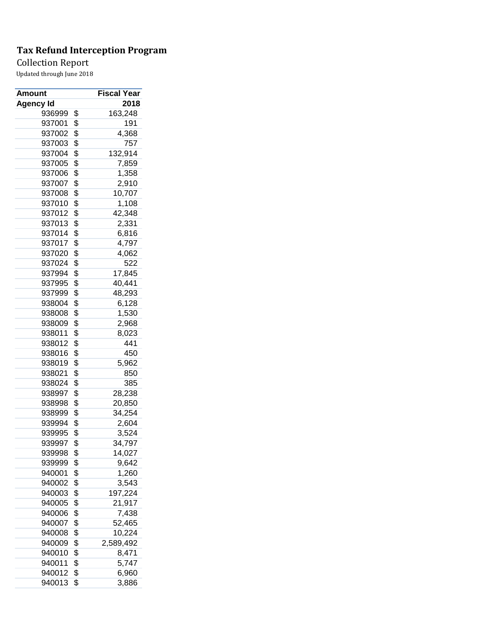## Collection Report

| Amount           | Fiscal Year     |
|------------------|-----------------|
| <b>Agency Id</b> | 2018            |
| 936999           | \$<br>163,248   |
| 937001           | \$<br>191       |
| 937002           | \$<br>4,368     |
| 937003           | \$<br>757       |
| 937004           | \$<br>132,914   |
| 937005           | \$<br>7,859     |
| 937006           | \$<br>1,358     |
| 937007           | \$<br>2,910     |
| 937008           | \$<br>10,707    |
| 937010           | \$<br>1,108     |
| 937012           | \$<br>42,348    |
| 937013           | \$<br>2,331     |
| 937014           | \$<br>6,816     |
| 937017           | \$<br>4,797     |
| 937020           | \$<br>4,062     |
| 937024           | \$<br>522       |
| 937994           | \$<br>17,845    |
| 937995           | \$<br>40,441    |
| 937999           | \$<br>48,293    |
| 938004           | \$<br>6,128     |
| 938008           | \$<br>1,530     |
| 938009           | \$<br>2,968     |
| 938011           | \$<br>8,023     |
| 938012           | \$<br>441       |
| 938016           | \$<br>450       |
| 938019           | \$<br>5,962     |
| 938021           | \$<br>850       |
| 938024           | \$<br>385       |
| 938997           | \$<br>28,238    |
| 938998           | \$<br>20,850    |
| 938999           | \$<br>34,254    |
| 939994           | \$<br>2,604     |
| 939995           | \$<br>3,524     |
| 939997           | \$<br>34,797    |
| 939998           | \$              |
| 939999           | \$<br>14,027    |
|                  | \$<br>9,642     |
| 940001           | 1,260           |
| 940002           | \$<br>3,543     |
| 940003           | \$<br>197,224   |
| 940005           | \$<br>21,917    |
| 940006           | \$<br>7,438     |
| 940007           | \$<br>52,465    |
| 940008           | \$<br>10,224    |
| 940009           | \$<br>2,589,492 |
| 940010           | \$<br>8,471     |
| 940011           | \$<br>5,747     |
| 940012           | \$<br>6,960     |
| 940013           | \$<br>3,886     |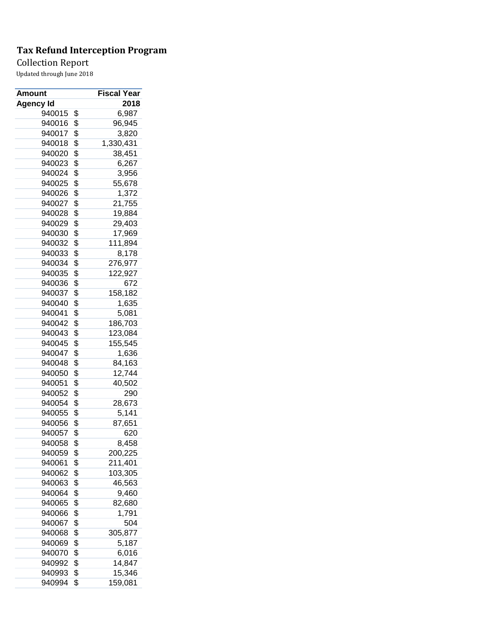## Collection Report

| <b>Amount</b>    |          | Fiscal Year |
|------------------|----------|-------------|
| Agency Id        |          | 2018        |
| 940015           | \$       | 6,987       |
| 940016           | \$       | 96,945      |
| 940017           | \$       | 3,820       |
| 940018           | \$       | 1,330,431   |
| 940020           | \$       | 38,451      |
| 940023           | \$       | 6,267       |
| 940024           | \$       | 3,956       |
| 940025           | \$       | 55,678      |
| 940026           | \$       | 1,372       |
| 940027           | \$       | 21,755      |
| 940028           | \$       | 19,884      |
| 940029           | \$       | 29,403      |
| 940030           | \$       | 17,969      |
| 940032           | \$       | 111,894     |
| 940033           | \$       | 8,178       |
| 940034           | \$       | 276,977     |
| 940035           | \$       | 122,927     |
| 940036           | \$       | 672         |
| 940037           | \$       | 158,182     |
| 940040           | \$       | 1,635       |
| 940041           | \$       | 5,081       |
| 940042           | \$       | 186,703     |
| 940043           | \$       | 123,084     |
| 940045           | \$       | 155,545     |
| 940047           | \$       | 1,636       |
| 940048           | \$       | 84,163      |
| 940050           | \$       | 12,744      |
| 940051           | \$       | 40,502      |
| 940052           | \$       | 290         |
| 940054           | \$       | 28,673      |
| 940055           | \$       | 5,141       |
| 940056           | \$       | 87,651      |
| 940057           | \$       | 620         |
| 940058           | \$       | 8,458       |
| 940059           | \$       | 200,225     |
| 940061           | \$       | 211,401     |
| 940062           | \$       | 103,305     |
| 940063           | \$       | 46,563      |
| 940064           | \$       | 9,460       |
| 940065           | \$       | 82,680      |
|                  |          | 1,791       |
| 940066<br>940067 | \$<br>\$ |             |
|                  |          | 504         |
| 940068           | \$       | 305,877     |
| 940069           | \$       | 5,187       |
| 940070           | \$       | 6,016       |
| 940992           | \$       | 14,847      |
| 940993           | \$       | 15,346      |
| 940994           | \$       | 159,081     |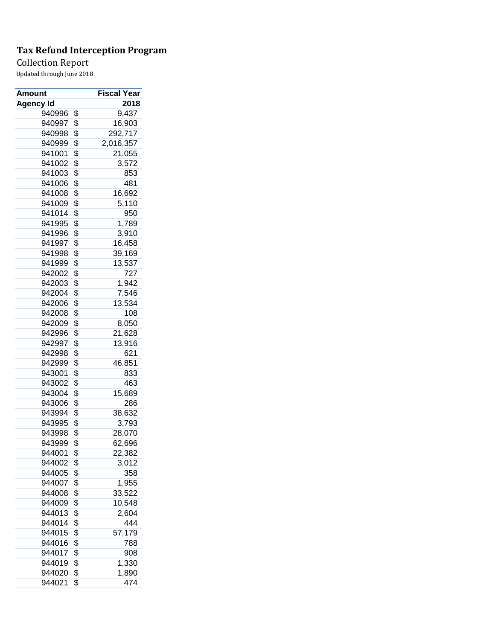## Collection Report

| Amount           | Fiscal Year     |
|------------------|-----------------|
| <b>Agency Id</b> | 2018            |
| 940996           | \$<br>9,437     |
| 940997           | \$<br>16,903    |
| 940998           | \$<br>292,717   |
| 940999           | \$<br>2,016,357 |
| 941001           | \$<br>21,055    |
| 941002           | \$<br>3,572     |
| 941003           | \$<br>853       |
| 941006           | \$<br>481       |
| 941008           | \$<br>16,692    |
| 941009           | \$<br>5,110     |
| 941014           | \$<br>950       |
| 941995           | \$<br>1,789     |
| 941996           | \$<br>3,910     |
| 941997           | \$<br>16,458    |
| 941998           | \$<br>39,169    |
| 941999           | \$<br>13,537    |
| 942002           | \$<br>727       |
| 942003           | \$<br>1,942     |
| 942004           | \$<br>7,546     |
| 942006           | \$<br>13,534    |
| 942008           | \$<br>108       |
| 942009           | \$<br>8,050     |
| 942996           | \$<br>21,628    |
| 942997           | \$<br>13,916    |
| 942998           | \$<br>621       |
| 942999           | \$<br>46,851    |
| 943001           | \$<br>833       |
| 943002           | \$<br>463       |
| 943004           | \$<br>15,689    |
| 943006           | \$<br>286       |
| 943994           | \$<br>38,632    |
| 943995           | \$<br>3,793     |
| 943998           | \$<br>28,070    |
| 943999           | \$              |
| 944001           | \$<br>62,696    |
|                  | 22,382<br>3,012 |
| 944002           | \$              |
| 944005           | \$<br>358       |
| 944007           | \$<br>1,955     |
| 944008           | \$<br>33,522    |
| 944009           | \$<br>10,548    |
| 944013           | \$<br>2,604     |
| 944014           | \$<br>444       |
| 944015           | \$<br>57,179    |
| 944016           | \$<br>788       |
| 944017           | \$<br>908       |
| 944019           | \$<br>1,330     |
| 944020           | \$<br>1,890     |
| 944021           | \$<br>474       |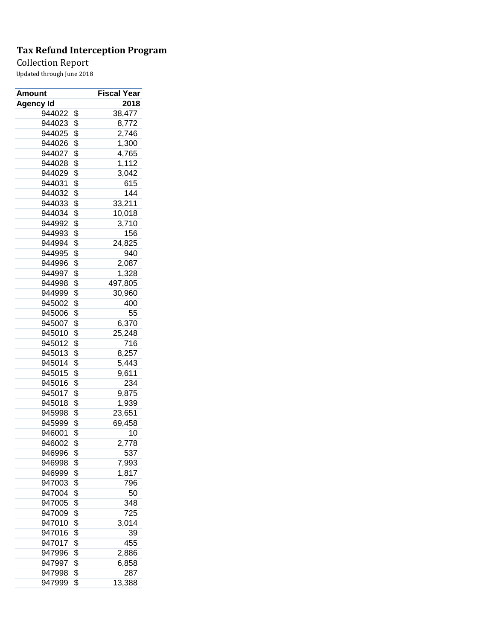## Collection Report

| <b>Amount</b> | Fiscal Year   |
|---------------|---------------|
| Agency Id     | 2018          |
| 944022        | \$<br>38,477  |
| 944023        | \$<br>8,772   |
| 944025        | \$<br>2,746   |
| 944026        | \$<br>1,300   |
| 944027        | \$<br>4,765   |
| 944028        | \$<br>1,112   |
| 944029        | \$<br>3,042   |
| 944031        | \$<br>615     |
| 944032        | \$<br>144     |
| 944033        | \$<br>33,211  |
| 944034        | \$<br>10,018  |
| 944992        | \$<br>3,710   |
| 944993        | \$<br>156     |
| 944994        | \$<br>24,825  |
| 944995        | \$<br>940     |
| 944996        | \$<br>2,087   |
| 944997        | \$<br>1,328   |
| 944998        | \$<br>497,805 |
| 944999        | \$<br>30,960  |
| 945002        | \$<br>400     |
| 945006        | \$<br>55      |
| 945007        | \$<br>6,370   |
| 945010        | \$<br>25,248  |
| 945012        | \$<br>716     |
| 945013        | \$<br>8,257   |
| 945014        | \$<br>5,443   |
| 945015        | \$<br>9,611   |
| 945016        | \$<br>234     |
| 945017        | \$<br>9,875   |
| 945018        | \$<br>1,939   |
| 945998        | \$<br>23,651  |
| 945999        | \$<br>69,458  |
| 946001        | \$<br>10      |
| 946002        | \$<br>2,778   |
| 946996        | \$            |
| 946998        | 537<br>7,993  |
|               | \$            |
| 946999        | \$<br>1,817   |
| 947003        | \$<br>796     |
| 947004        | \$<br>50      |
| 947005        | \$<br>348     |
| 947009        | \$<br>725     |
| 947010        | \$<br>3,014   |
| 947016        | \$<br>39      |
| 947017        | \$<br>455     |
| 947996        | \$<br>2,886   |
| 947997        | \$<br>6,858   |
| 947998        | \$<br>287     |
| 947999        | \$<br>13,388  |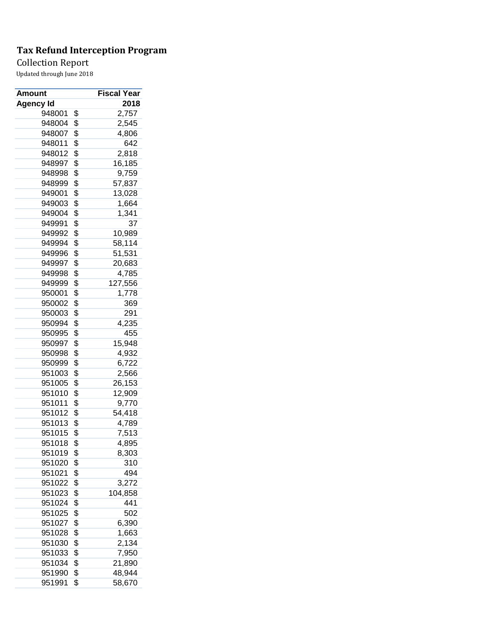## Collection Report

| <b>Amount</b>    | Fiscal Year           |
|------------------|-----------------------|
| <b>Agency Id</b> | 2018                  |
| 948001           | \$<br>2,757           |
| 948004           | \$<br>2,545           |
| 948007           | \$<br>4,806           |
| 948011           | \$<br>642             |
| 948012           | \$<br>2,818           |
| 948997           | \$<br>16,185          |
| 948998           | \$<br>9,759           |
| 948999           | \$<br>57,837          |
| 949001           | \$<br>13,028          |
| 949003           | \$<br>1,664           |
| 949004           | \$<br>1,341           |
| 949991           | \$<br>37              |
| 949992           | \$<br>10,989          |
| 949994           | \$<br>58,114          |
| 949996           | \$<br>51,531          |
| 949997           | \$<br>20,683          |
| 949998           | \$<br>4,785           |
| 949999           | \$<br>127,556         |
| 950001           | \$<br>1,778           |
| 950002           | \$<br>369             |
| 950003           | \$<br>291             |
| 950994           | \$<br>4,235           |
| 950995           | \$<br>455             |
| 950997           | \$<br>15,948          |
| 950998           | \$<br>4,932           |
| 950999           | \$<br>6,722           |
| 951003           | \$                    |
| 951005           | \$<br>2,566<br>26,153 |
| 951010           | \$<br>12,909          |
| 951011           | \$                    |
|                  | 9,770                 |
| 951012           | \$<br>54,418          |
| 951013           | \$<br>4,789           |
| 951015           | \$<br>7,513           |
| 951018           | \$<br>4,895           |
| 951019           | \$<br>8,303           |
| 951020           | \$<br>310             |
| 951021           | \$<br>494             |
| 951022           | \$<br>3,272           |
| 951023           | \$<br>104,858         |
| 951024           | \$<br>441             |
| 951025           | \$<br>502             |
| 951027           | \$<br>6,390           |
| 951028           | \$<br>1,663           |
| 951030           | \$<br>2,134           |
| 951033           | \$<br>7,950           |
| 951034           | \$<br>21,890          |
| 951990           | \$<br>48,944          |
| 951991           | \$<br>58,670          |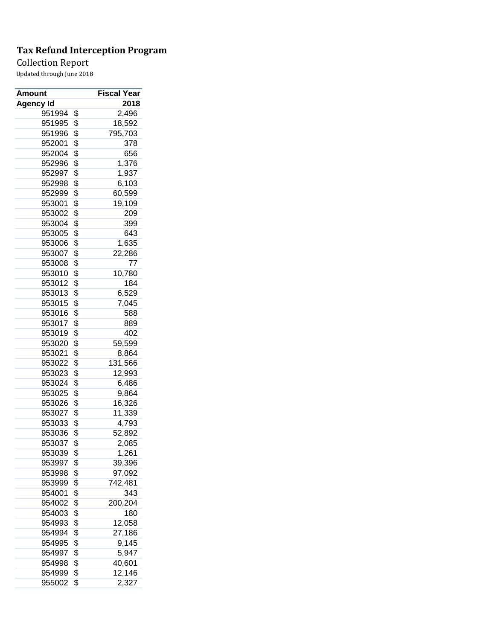## Collection Report

| Amount           | Fiscal Year   |
|------------------|---------------|
| <b>Agency Id</b> | 2018          |
| 951994           | \$<br>2,496   |
| 951995           | \$<br>18,592  |
| 951996           | \$<br>795,703 |
| 952001           | \$<br>378     |
| 952004           | \$<br>656     |
| 952996           | \$<br>1,376   |
| 952997           | \$<br>1,937   |
| 952998           | \$<br>6,103   |
| 952999           | \$<br>60,599  |
| 953001           | \$<br>19,109  |
| 953002           | \$<br>209     |
| 953004           | \$<br>399     |
| 953005           | \$<br>643     |
| 953006           | \$<br>1,635   |
| 953007           | \$<br>22,286  |
| 953008           | \$<br>77      |
| 953010           | \$<br>10,780  |
| 953012           | \$<br>184     |
| 953013           | \$<br>6,529   |
| 953015           | \$<br>7,045   |
| 953016           | \$<br>588     |
| 953017           | \$<br>889     |
| 953019           | \$<br>402     |
| 953020           | \$<br>59,599  |
| 953021           | \$<br>8,864   |
| 953022           | \$<br>131,566 |
| 953023           | \$<br>12,993  |
| 953024           | \$            |
| 953025           | \$<br>6,486   |
|                  | \$<br>9,864   |
| 953026           | 16,326        |
| 953027           | \$<br>11,339  |
| 953033           | \$<br>4,793   |
| 953036           | \$<br>52,892  |
| 953037           | \$<br>2,085   |
| 953039           | \$<br>1,261   |
| 953997           | \$<br>39,396  |
| 953998           | \$<br>97,092  |
| 953999           | \$<br>742,481 |
| 954001           | \$<br>343     |
| 954002           | \$<br>200,204 |
| 954003           | \$<br>180     |
| 954993           | \$<br>12,058  |
| 954994           | \$<br>27,186  |
| 954995           | \$<br>9,145   |
| 954997           | \$<br>5,947   |
| 954998           | \$<br>40,601  |
| 954999           | \$<br>12,146  |
| 955002           | \$<br>2,327   |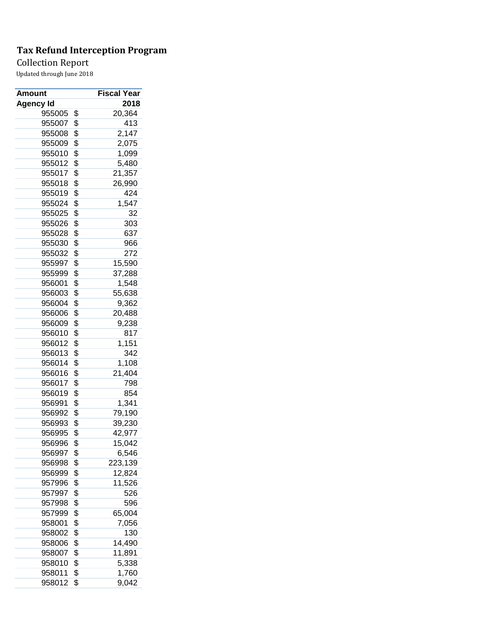## Collection Report

| <b>Amount</b>    | Fiscal Year   |
|------------------|---------------|
| <b>Agency Id</b> | 2018          |
| 955005           | \$<br>20,364  |
| 955007           | \$<br>413     |
| 955008           | \$<br>2,147   |
| 955009           | \$<br>2,075   |
| 955010           | \$<br>1,099   |
| 955012           | \$<br>5,480   |
| 955017           | \$<br>21,357  |
| 955018           | \$<br>26,990  |
| 955019           | \$<br>424     |
| 955024           | \$<br>1,547   |
| 955025           | \$<br>32      |
| 955026           | \$<br>303     |
| 955028           | \$<br>637     |
| 955030           | \$<br>966     |
| 955032           | \$<br>272     |
| 955997           | \$<br>15,590  |
| 955999           | \$<br>37,288  |
| 956001           | \$<br>1,548   |
| 956003           | \$<br>55,638  |
| 956004           | \$<br>9,362   |
| 956006           | \$<br>20,488  |
| 956009           | \$<br>9,238   |
| 956010           | \$<br>817     |
| 956012           | \$            |
|                  | 1,151         |
| 956013           | \$<br>342     |
| 956014           | \$<br>1,108   |
| 956016           | \$<br>21,404  |
| 956017           | \$<br>798     |
| 956019           | \$<br>854     |
| 956991           | \$<br>1,341   |
| 956992           | \$<br>79,190  |
| 956993           | \$<br>39,230  |
| 956995           | \$<br>42,977  |
| 956996           | \$<br>15,042  |
| 956997           | \$<br>6,546   |
| 956998           | \$<br>223,139 |
| 956999           | \$<br>12,824  |
| 957996           | \$<br>11,526  |
| 957997           | \$<br>526     |
| 957998           | \$<br>596     |
| 957999           | \$<br>65,004  |
| 958001           | \$<br>7,056   |
| 958002           | \$<br>130     |
| 958006           | \$<br>14,490  |
| 958007           | \$<br>11,891  |
| 958010           | \$<br>5,338   |
| 958011           | \$<br>1,760   |
| 958012           | \$<br>9,042   |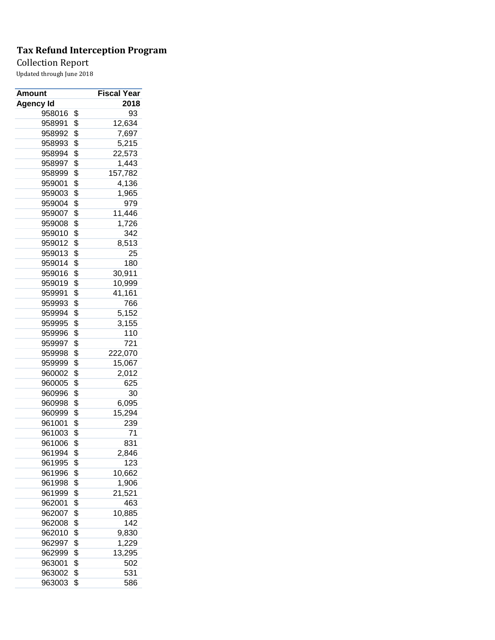## Collection Report

| <b>Amount</b>    | Fiscal Year        |
|------------------|--------------------|
| <b>Agency Id</b> | 2018               |
| 958016           | \$<br>93           |
| 958991           | \$<br>12,634       |
| 958992           | \$<br>7,697        |
| 958993           | \$<br>5,215        |
| 958994           | \$<br>22,573       |
| 958997           | \$<br>1,443        |
| 958999           | \$<br>157,782      |
| 959001           | \$<br>4,136        |
| 959003           | \$<br>1,965        |
| 959004           | \$<br>979          |
| 959007           | \$<br>11,446       |
| 959008           | \$<br>1,726        |
| 959010           | \$<br>342          |
| 959012           | \$<br>8,513        |
| 959013           | \$<br>25           |
| 959014           | \$<br>180          |
| 959016           | \$<br>30,911       |
| 959019           | \$<br>10,999       |
| 959991           | \$<br>41,161       |
| 959993           | \$<br>766          |
| 959994           | \$<br>5,152        |
| 959995           | \$<br>3,155        |
| 959996           | \$<br>110          |
| 959997           | \$<br>721          |
| 959998           | \$<br>222,070      |
| 959999           | \$<br>15,067       |
| 960002           | \$                 |
| 960005           | \$<br>2,012<br>625 |
|                  |                    |
| 960996           | \$<br>30           |
| 960998           | \$<br>6,095        |
| 960999           | \$<br>15,294       |
| 961001           | \$<br>239          |
| 961003           | \$<br>71           |
| 961006           | \$<br>831          |
| 961994           | \$<br>2,846        |
| 961995           | \$<br>123          |
| 961996           | \$<br>10,662       |
| 961998           | \$<br>1,906        |
| 961999           | \$<br>21,521       |
| 962001           | \$<br>463          |
| 962007           | \$<br>10,885       |
| 962008           | \$<br>142          |
| 962010           | \$<br>9,830        |
| 962997           | \$<br>1,229        |
| 962999           | \$<br>13,295       |
| 963001           | \$<br>502          |
| 963002           | \$<br>531          |
| 963003           | \$<br>586          |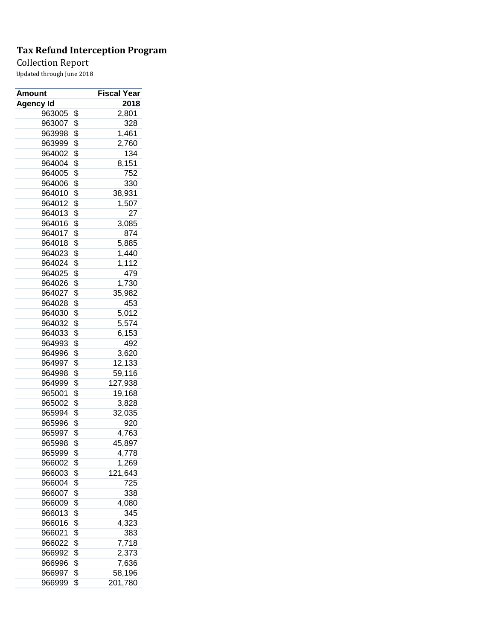## Collection Report

| Amount    | Fiscal Year   |
|-----------|---------------|
| Agency Id | 2018          |
| 963005    | \$<br>2,801   |
| 963007    | \$<br>328     |
| 963998    | \$<br>1,461   |
| 963999    | \$<br>2,760   |
| 964002    | \$<br>134     |
| 964004    | \$<br>8,151   |
| 964005    | \$<br>752     |
| 964006    | \$<br>330     |
| 964010    | \$<br>38,931  |
| 964012    | \$<br>1,507   |
| 964013    | \$<br>27      |
| 964016    | \$<br>3,085   |
| 964017    | \$<br>874     |
| 964018    | \$<br>5,885   |
| 964023    | \$<br>1,440   |
| 964024    | \$<br>1,112   |
| 964025    | \$<br>479     |
| 964026    | \$<br>1,730   |
| 964027    | \$<br>35,982  |
| 964028    | \$<br>453     |
| 964030    | \$<br>5,012   |
| 964032    | \$<br>5,574   |
| 964033    | \$<br>6,153   |
| 964993    | \$<br>492     |
| 964996    | \$<br>3,620   |
| 964997    | \$<br>12,133  |
| 964998    | \$<br>59,116  |
| 964999    | \$<br>127,938 |
| 965001    | \$            |
| 965002    | 19,168        |
|           | \$<br>3,828   |
| 965994    | \$<br>32,035  |
| 965996    | \$<br>920     |
| 965997    | \$<br>4,763   |
| 965998    | \$<br>45,897  |
| 965999    | \$<br>4,778   |
| 966002    | \$<br>1,269   |
| 966003    | \$<br>121,643 |
| 966004    | \$<br>725     |
| 966007    | \$<br>338     |
| 966009    | \$<br>4,080   |
| 966013    | \$<br>345     |
| 966016    | \$<br>4,323   |
| 966021    | \$<br>383     |
| 966022    | \$<br>7,718   |
| 966992    | \$<br>2,373   |
| 966996    | \$<br>7,636   |
| 966997    | \$<br>58,196  |
| 966999    | \$<br>201,780 |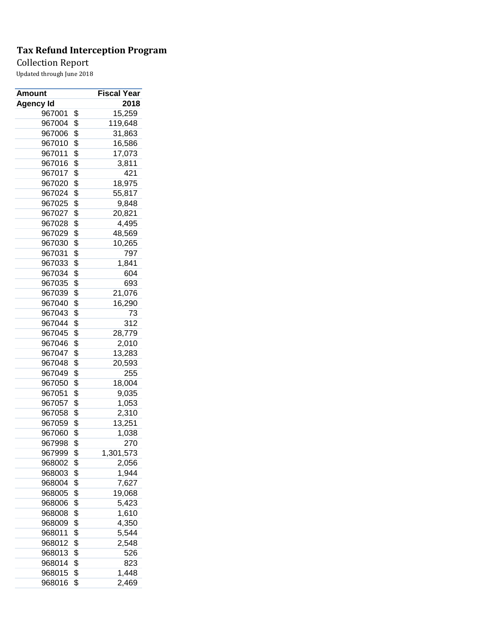## Collection Report

| <b>Amount</b>    | Fiscal Year     |
|------------------|-----------------|
| <b>Agency Id</b> | 2018            |
| 967001           | \$<br>15,259    |
| 967004           | \$<br>119,648   |
| 967006           | \$<br>31,863    |
| 967010           | \$<br>16,586    |
| 967011           | \$<br>17,073    |
| 967016           | \$<br>3,811     |
| 967017           | \$<br>421       |
| 967020           | \$<br>18,975    |
| 967024           | \$<br>55,817    |
| 967025           | \$<br>9,848     |
| 967027           | \$<br>20,821    |
| 967028           | \$<br>4,495     |
| 967029           | \$<br>48,569    |
| 967030           | \$<br>10,265    |
| 967031           | \$<br>797       |
| 967033           | \$<br>1,841     |
| 967034           | \$<br>604       |
| 967035           | \$<br>693       |
| 967039           | \$<br>21,076    |
| 967040           | \$<br>16,290    |
| 967043           | \$<br>73        |
| 967044           | \$<br>312       |
|                  |                 |
| 967045           | \$<br>28,779    |
| 967046           | \$<br>2,010     |
| 967047           | \$<br>13,283    |
| 967048           | \$<br>20,593    |
| 967049           | \$<br>255       |
| 967050           | \$<br>18,004    |
| 967051           | \$<br>9,035     |
| 967057           | \$<br>1,053     |
| 967058           | \$<br>2,310     |
| 967059           | \$<br>13,251    |
| 967060           | \$<br>1,038     |
| 967998           | \$<br>270       |
| 967999           | \$<br>1,301,573 |
| 968002           | \$<br>2,056     |
| 968003           | \$<br>1,944     |
| 968004           | \$<br>7,627     |
| 968005           | \$<br>19,068    |
| 968006           | \$<br>5,423     |
| 968008           | \$<br>1,610     |
| 968009           | \$<br>4,350     |
| 968011           | \$<br>5,544     |
| 968012           | \$<br>2,548     |
| 968013           | \$<br>526       |
| 968014           | \$<br>823       |
| 968015           | \$<br>1,448     |
| 968016           | \$<br>2,469     |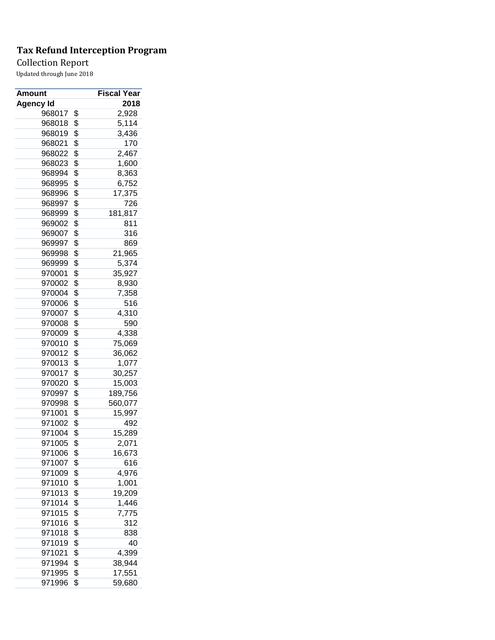## Collection Report

| <b>Amount</b>    | Fiscal Year   |
|------------------|---------------|
| <b>Agency Id</b> | 2018          |
| 968017           | \$<br>2,928   |
| 968018           | \$<br>5,114   |
| 968019           | \$<br>3,436   |
| 968021           | \$<br>170     |
| 968022           | \$<br>2,467   |
| 968023           | \$<br>1,600   |
| 968994           | \$<br>8,363   |
| 968995           | \$<br>6,752   |
| 968996           | \$<br>17,375  |
| 968997           | \$<br>726     |
| 968999           | \$<br>181,817 |
| 969002           | \$<br>811     |
| 969007           | \$<br>316     |
| 969997           | \$<br>869     |
| 969998           | \$<br>21,965  |
| 969999           | \$<br>5,374   |
| 970001           | \$<br>35,927  |
| 970002           | \$<br>8,930   |
| 970004           | \$<br>7,358   |
| 970006           | \$<br>516     |
| 970007           | \$<br>4,310   |
| 970008           | \$<br>590     |
| 970009           | \$<br>4,338   |
| 970010           | \$            |
|                  | 75,069        |
| 970012           | \$<br>36,062  |
| 970013           | \$<br>1,077   |
| 970017           | \$<br>30,257  |
| 970020           | \$<br>15,003  |
| 970997           | \$<br>189,756 |
| 970998           | \$<br>560,077 |
| 971001           | \$<br>15,997  |
| 971002           | \$<br>492     |
| 971004           | \$<br>15,289  |
| 971005           | \$<br>2,071   |
| 971006           | \$<br>16,673  |
| 971007           | \$<br>616     |
| 971009           | \$<br>4,976   |
| 971010           | \$<br>1,001   |
| 971013           | \$<br>19,209  |
| 971014           | \$<br>1,446   |
| 971015           | \$<br>7,775   |
| 971016           | \$<br>312     |
| 971018           | \$<br>838     |
| 971019           | \$<br>40      |
| 971021           | \$<br>4,399   |
| 971994           | \$<br>38,944  |
| 971995           | \$<br>17,551  |
| 971996           | \$<br>59,680  |